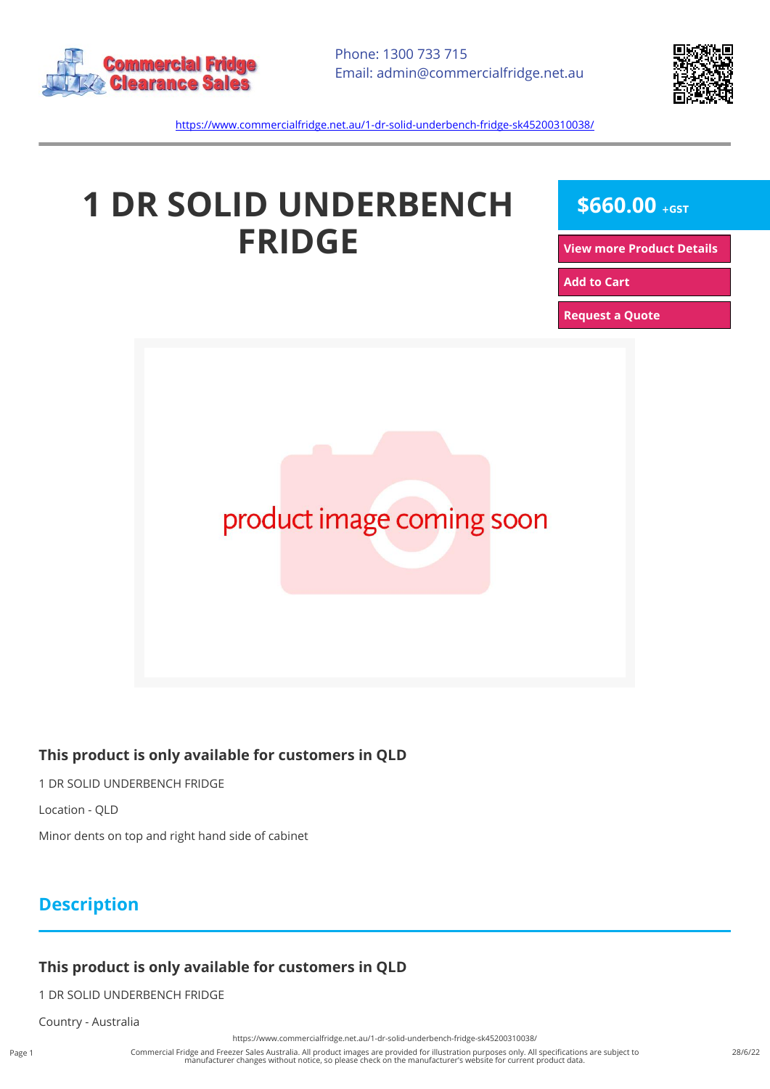



<https://www.commercialfridge.net.au/1-dr-solid-underbench-fridge-sk45200310038/>

# **1 DR SOLID UNDERBENCH FRIDGE**

 $$660.00 + GST$ 

**[View more Product Details](https://www.commercialfridge.net.au/1-dr-solid-underbench-fridge-sk45200310038/)**

**[Add to Cart](https://www.commercialfridge.net.au/1-dr-solid-underbench-fridge-sk45200310038/?addtocart=1)** 

**[Request a Quote](https://www.commercialfridge.net.au/1-dr-solid-underbench-fridge-sk45200310038/?requestaquote=1)** 



#### **This product is only available for customers in QLD**

1 DR SOLID UNDERBENCH FRIDGE

Location - QLD

Minor dents on top and right hand side of cabinet

### **Description**

#### **This product is only available for customers in QLD**

1 DR SOLID UNDERBENCH FRIDGE

Country - Australia